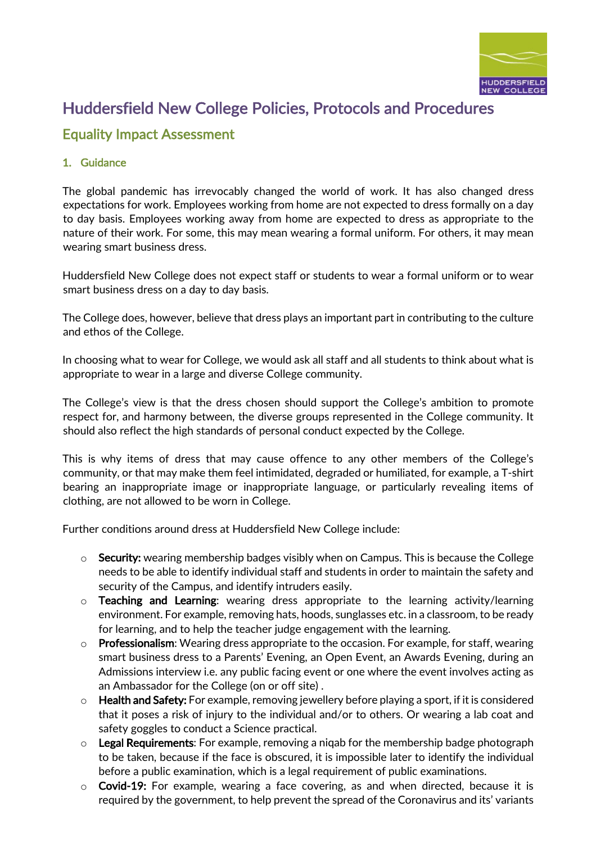

# Huddersfield New College Policies, Protocols and Procedures

## Equality Impact Assessment

### 1. Guidance

The global pandemic has irrevocably changed the world of work. It has also changed dress expectations for work. Employees working from home are not expected to dress formally on a day to day basis. Employees working away from home are expected to dress as appropriate to the nature of their work. For some, this may mean wearing a formal uniform. For others, it may mean wearing smart business dress.

Huddersfield New College does not expect staff or students to wear a formal uniform or to wear smart business dress on a day to day basis.

The College does, however, believe that dress plays an important part in contributing to the culture and ethos of the College.

In choosing what to wear for College, we would ask all staff and all students to think about what is appropriate to wear in a large and diverse College community.

The College's view is that the dress chosen should support the College's ambition to promote respect for, and harmony between, the diverse groups represented in the College community. It should also reflect the high standards of personal conduct expected by the College.

This is why items of dress that may cause offence to any other members of the College's community, or that may make them feel intimidated, degraded or humiliated, for example, a T-shirt bearing an inappropriate image or inappropriate language, or particularly revealing items of clothing, are not allowed to be worn in College.

Further conditions around dress at Huddersfield New College include:

- $\circ$  Security: wearing membership badges visibly when on Campus. This is because the College needs to be able to identify individual staff and students in order to maintain the safety and security of the Campus, and identify intruders easily.
- $\circ$  Teaching and Learning: wearing dress appropriate to the learning activity/learning environment. For example, removing hats, hoods, sunglasses etc. in a classroom, to be ready for learning, and to help the teacher judge engagement with the learning.
- $\circ$  Professionalism: Wearing dress appropriate to the occasion. For example, for staff, wearing smart business dress to a Parents' Evening, an Open Event, an Awards Evening, during an Admissions interview i.e. any public facing event or one where the event involves acting as an Ambassador for the College (on or off site) .
- $\circ$  Health and Safety: For example, removing jewellery before playing a sport, if it is considered that it poses a risk of injury to the individual and/or to others. Or wearing a lab coat and safety goggles to conduct a Science practical.
- $\circ$  Legal Requirements: For example, removing a niqab for the membership badge photograph to be taken, because if the face is obscured, it is impossible later to identify the individual before a public examination, which is a legal requirement of public examinations.
- $\circ$  Covid-19: For example, wearing a face covering, as and when directed, because it is required by the government, to help prevent the spread of the Coronavirus and its' variants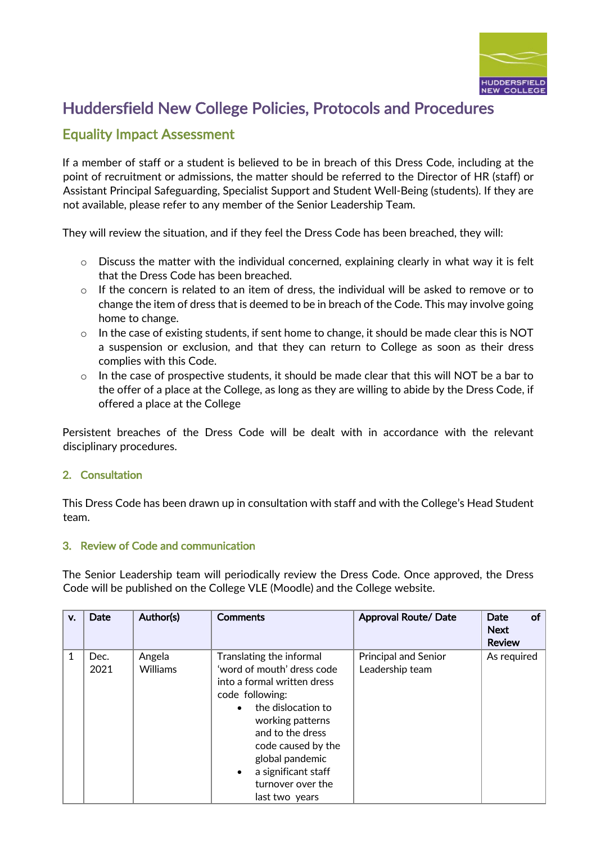

# Huddersfield New College Policies, Protocols and Procedures

## Equality Impact Assessment

If a member of staff or a student is believed to be in breach of this Dress Code, including at the point of recruitment or admissions, the matter should be referred to the Director of HR (staff) or Assistant Principal Safeguarding, Specialist Support and Student Well-Being (students). If they are not available, please refer to any member of the Senior Leadership Team.

They will review the situation, and if they feel the Dress Code has been breached, they will:

- $\circ$  Discuss the matter with the individual concerned, explaining clearly in what way it is felt that the Dress Code has been breached.
- o If the concern is related to an item of dress, the individual will be asked to remove or to change the item of dress that is deemed to be in breach of the Code. This may involve going home to change.
- $\circ$  In the case of existing students, if sent home to change, it should be made clear this is NOT a suspension or exclusion, and that they can return to College as soon as their dress complies with this Code.
- $\circ$  In the case of prospective students, it should be made clear that this will NOT be a bar to the offer of a place at the College, as long as they are willing to abide by the Dress Code, if offered a place at the College

Persistent breaches of the Dress Code will be dealt with in accordance with the relevant disciplinary procedures.

#### 2. Consultation

This Dress Code has been drawn up in consultation with staff and with the College's Head Student team.

#### 3. Review of Code and communication

The Senior Leadership team will periodically review the Dress Code. Once approved, the Dress Code will be published on the College VLE (Moodle) and the College website.

| v. | Date         | Author(s)                 | <b>Comments</b>                                                                                                                                                                                                                                                                                         | <b>Approval Route/ Date</b>                    | of<br><b>Date</b><br><b>Next</b><br><b>Review</b> |
|----|--------------|---------------------------|---------------------------------------------------------------------------------------------------------------------------------------------------------------------------------------------------------------------------------------------------------------------------------------------------------|------------------------------------------------|---------------------------------------------------|
| 1  | Dec.<br>2021 | Angela<br><b>Williams</b> | Translating the informal<br>'word of mouth' dress code<br>into a formal written dress<br>code following:<br>the dislocation to<br>$\bullet$<br>working patterns<br>and to the dress<br>code caused by the<br>global pandemic<br>a significant staff<br>$\bullet$<br>turnover over the<br>last two years | <b>Principal and Senior</b><br>Leadership team | As required                                       |